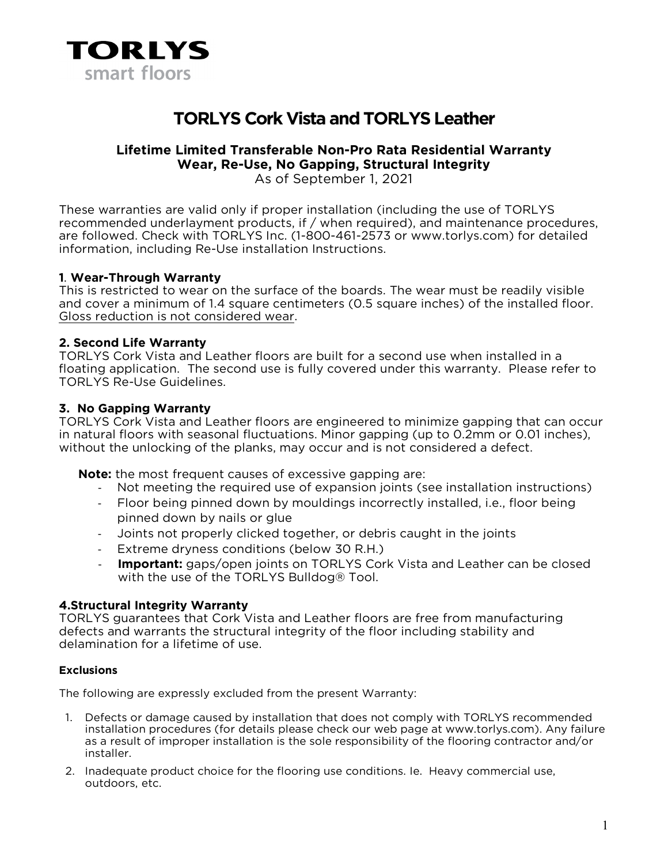

# **TORLYS Cork Vista and TORLYS Leather**

# **Lifetime Limited Transferable Non-Pro Rata Residential Warranty Wear, Re-Use, No Gapping, Structural Integrity**

As of September 1, 2021

These warranties are valid only if proper installation (including the use of TORLYS recommended underlayment products, if / when required), and maintenance procedures, are followed. Check with TORLYS Inc. (1-800-461-2573 or www.torlys.com) for detailed information, including Re-Use installation Instructions.

#### **1**. **Wear-Through Warranty**

This is restricted to wear on the surface of the boards. The wear must be readily visible and cover a minimum of 1.4 square centimeters (0.5 square inches) of the installed floor. Gloss reduction is not considered wear.

#### **2. Second Life Warranty**

TORLYS Cork Vista and Leather floors are built for a second use when installed in a floating application. The second use is fully covered under this warranty. Please refer to TORLYS Re-Use Guidelines.

#### **3. No Gapping Warranty**

TORLYS Cork Vista and Leather floors are engineered to minimize gapping that can occur in natural floors with seasonal fluctuations. Minor gapping (up to 0.2mm or 0.01 inches), without the unlocking of the planks, may occur and is not considered a defect.

**Note:** the most frequent causes of excessive gapping are:

- Not meeting the required use of expansion joints (see installation instructions)
- Floor being pinned down by mouldings incorrectly installed, i.e., floor being pinned down by nails or glue
- Joints not properly clicked together, or debris caught in the joints
- Extreme dryness conditions (below 30 R.H.)
- **Important:** gaps/open joints on TORLYS Cork Vista and Leather can be closed with the use of the TORLYS Bulldog® Tool.

## **4.Structural Integrity Warranty**

TORLYS guarantees that Cork Vista and Leather floors are free from manufacturing defects and warrants the structural integrity of the floor including stability and delamination for a lifetime of use.

#### **Exclusions**

The following are expressly excluded from the present Warranty:

- 1. Defects or damage caused by installation that does not comply with TORLYS recommended installation procedures (for details please check our web page at www.torlys.com). Any failure as a result of improper installation is the sole responsibility of the flooring contractor and/or installer.
- 2. Inadequate product choice for the flooring use conditions. Ie. Heavy commercial use, outdoors, etc.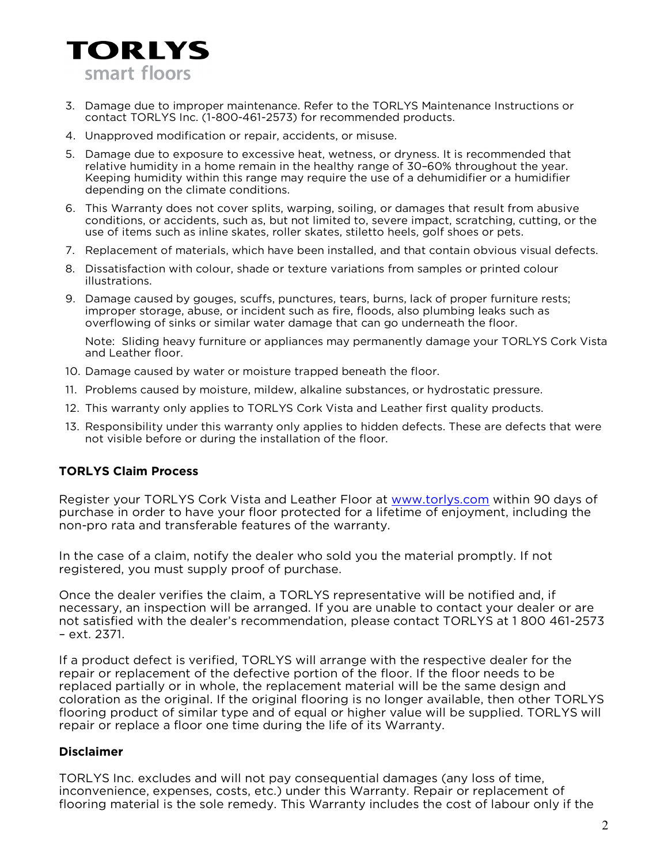

- 3. Damage due to improper maintenance. Refer to the TORLYS Maintenance Instructions or contact TORLYS Inc. (1-800-461-2573) for recommended products.
- 4. Unapproved modification or repair, accidents, or misuse.
- 5. Damage due to exposure to excessive heat, wetness, or dryness. It is recommended that relative humidity in a home remain in the healthy range of 30–60% throughout the year. Keeping humidity within this range may require the use of a dehumidifier or a humidifier depending on the climate conditions.
- 6. This Warranty does not cover splits, warping, soiling, or damages that result from abusive conditions, or accidents, such as, but not limited to, severe impact, scratching, cutting, or the use of items such as inline skates, roller skates, stiletto heels, golf shoes or pets.
- 7. Replacement of materials, which have been installed, and that contain obvious visual defects.
- 8. Dissatisfaction with colour, shade or texture variations from samples or printed colour illustrations.
- 9. Damage caused by gouges, scuffs, punctures, tears, burns, lack of proper furniture rests; improper storage, abuse, or incident such as fire, floods, also plumbing leaks such as overflowing of sinks or similar water damage that can go underneath the floor.

Note: Sliding heavy furniture or appliances may permanently damage your TORLYS Cork Vista and Leather floor.

- 10. Damage caused by water or moisture trapped beneath the floor.
- 11. Problems caused by moisture, mildew, alkaline substances, or hydrostatic pressure.
- 12. This warranty only applies to TORLYS Cork Vista and Leather first quality products.
- 13. Responsibility under this warranty only applies to hidden defects. These are defects that were not visible before or during the installation of the floor.

## **TORLYS Claim Process**

Register your TORLYS Cork Vista and Leather Floor at [www.torlys.com](http://www.torlys.com/) within 90 days of purchase in order to have your floor protected for a lifetime of enjoyment, including the non-pro rata and transferable features of the warranty.

In the case of a claim, notify the dealer who sold you the material promptly. If not registered, you must supply proof of purchase.

Once the dealer verifies the claim, a TORLYS representative will be notified and, if necessary, an inspection will be arranged. If you are unable to contact your dealer or are not satisfied with the dealer's recommendation, please contact TORLYS at 1 800 461-2573 – ext. 2371.

If a product defect is verified, TORLYS will arrange with the respective dealer for the repair or replacement of the defective portion of the floor. If the floor needs to be replaced partially or in whole, the replacement material will be the same design and coloration as the original. If the original flooring is no longer available, then other TORLYS flooring product of similar type and of equal or higher value will be supplied. TORLYS will repair or replace a floor one time during the life of its Warranty.

#### **Disclaimer**

TORLYS Inc. excludes and will not pay consequential damages (any loss of time, inconvenience, expenses, costs, etc.) under this Warranty. Repair or replacement of flooring material is the sole remedy. This Warranty includes the cost of labour only if the